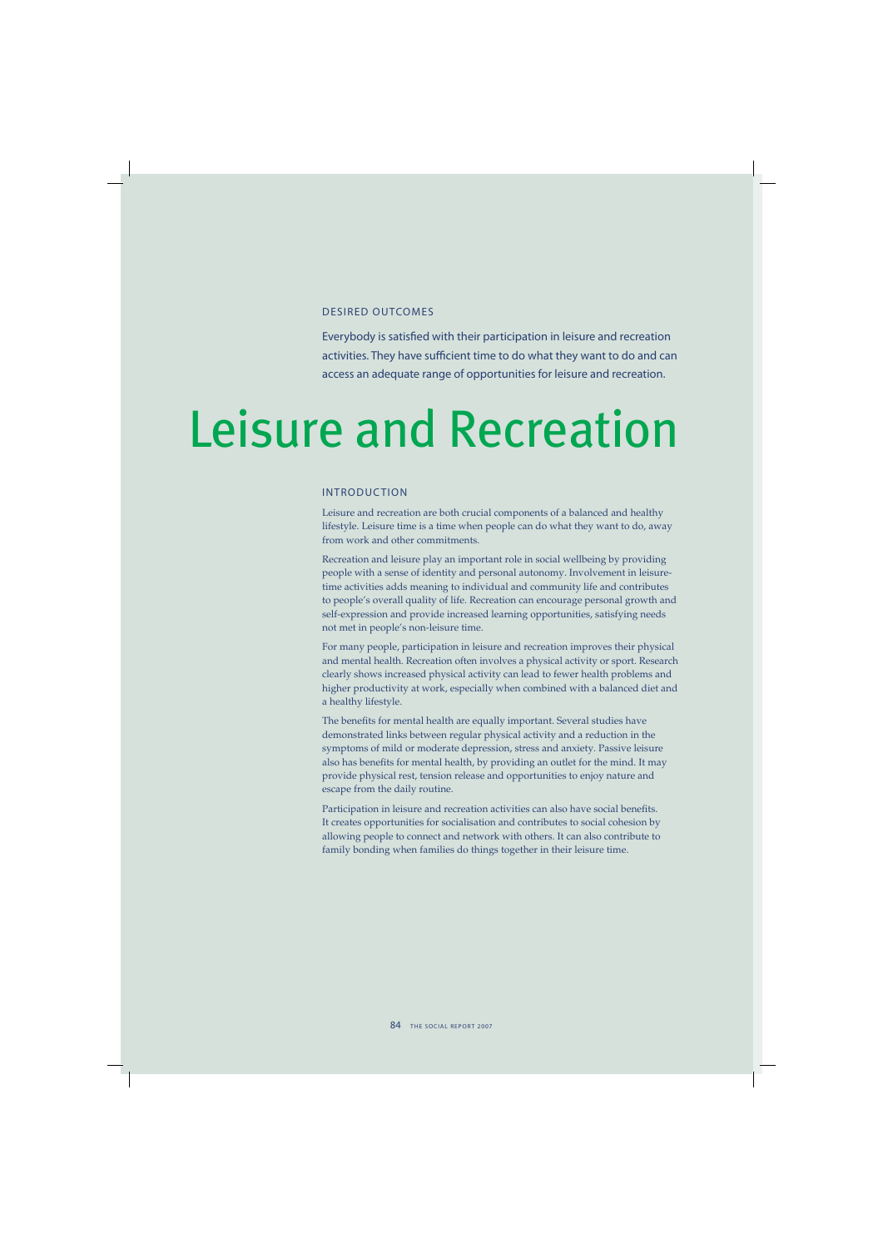## DESIRED OUTCOMES

Everybody is satisfied with their participation in leisure and recreation activities. They have sufficient time to do what they want to do and can access an adequate range of opportunities for leisure and recreation.

# Leisure and Recreation

## INTRODUCTION

Leisure and recreation are both crucial components of a balanced and healthy lifestyle. Leisure time is a time when people can do what they want to do, away from work and other commitments.

Recreation and leisure play an important role in social wellbeing by providing people with a sense of identity and personal autonomy. Involvement in leisuretime activities adds meaning to individual and community life and contributes to people's overall quality of life. Recreation can encourage personal growth and self-expression and provide increased learning opportunities, satisfying needs not met in people's non-leisure time.

For many people, participation in leisure and recreation improves their physical and mental health. Recreation often involves a physical activity or sport. Research clearly shows increased physical activity can lead to fewer health problems and higher productivity at work, especially when combined with a balanced diet and a healthy lifestyle.

The benefits for mental health are equally important. Several studies have demonstrated links between regular physical activity and a reduction in the symptoms of mild or moderate depression, stress and anxiety. Passive leisure also has benefits for mental health, by providing an outlet for the mind. It may provide physical rest, tension release and opportunities to enjoy nature and escape from the daily routine.

Participation in leisure and recreation activities can also have social benefits. It creates opportunities for socialisation and contributes to social cohesion by allowing people to connect and network with others. It can also contribute to family bonding when families do things together in their leisure time.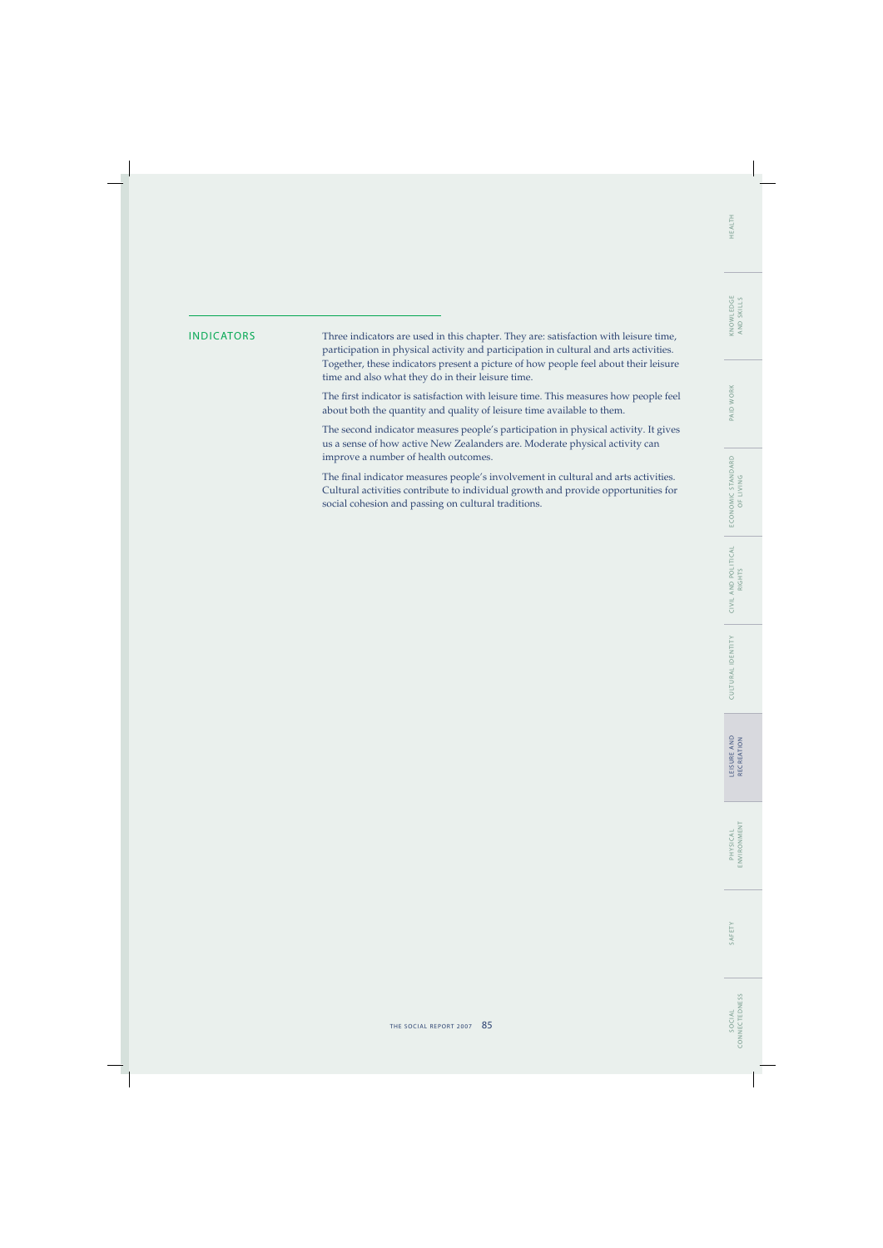INDICATORS Three indicators are used in this chapter. They are: satisfaction with leisure time, participation in physical activity and participation in cultural and arts activities. Together, these indicators present a picture of how people feel about their leisure time and also what they do in their leisure time.

> The first indicator is satisfaction with leisure time. This measures how people feel about both the quantity and quality of leisure time available to them.

> The second indicator measures people's participation in physical activity. It gives us a sense of how active New Zealanders are. Moderate physical activity can improve a number of health outcomes.

> The final indicator measures people's involvement in cultural and arts activities. Cultural activities contribute to individual growth and provide opportunities for social cohesion and passing on cultural traditions.

L E I S U R E A N D RECREATION

LEISURE AND<br>RECREATION

CULTURAL IDENTIT Y C I V I L A N D P O L I T I C A L

CULTURAL IDENTITY

CIVIL AND POLITICAL<br>RIGHTS

E CO N O M I C S TA N DA R D OF LIVING

ECONOMIC STANDARD<br>OF LIVING

PAID WORK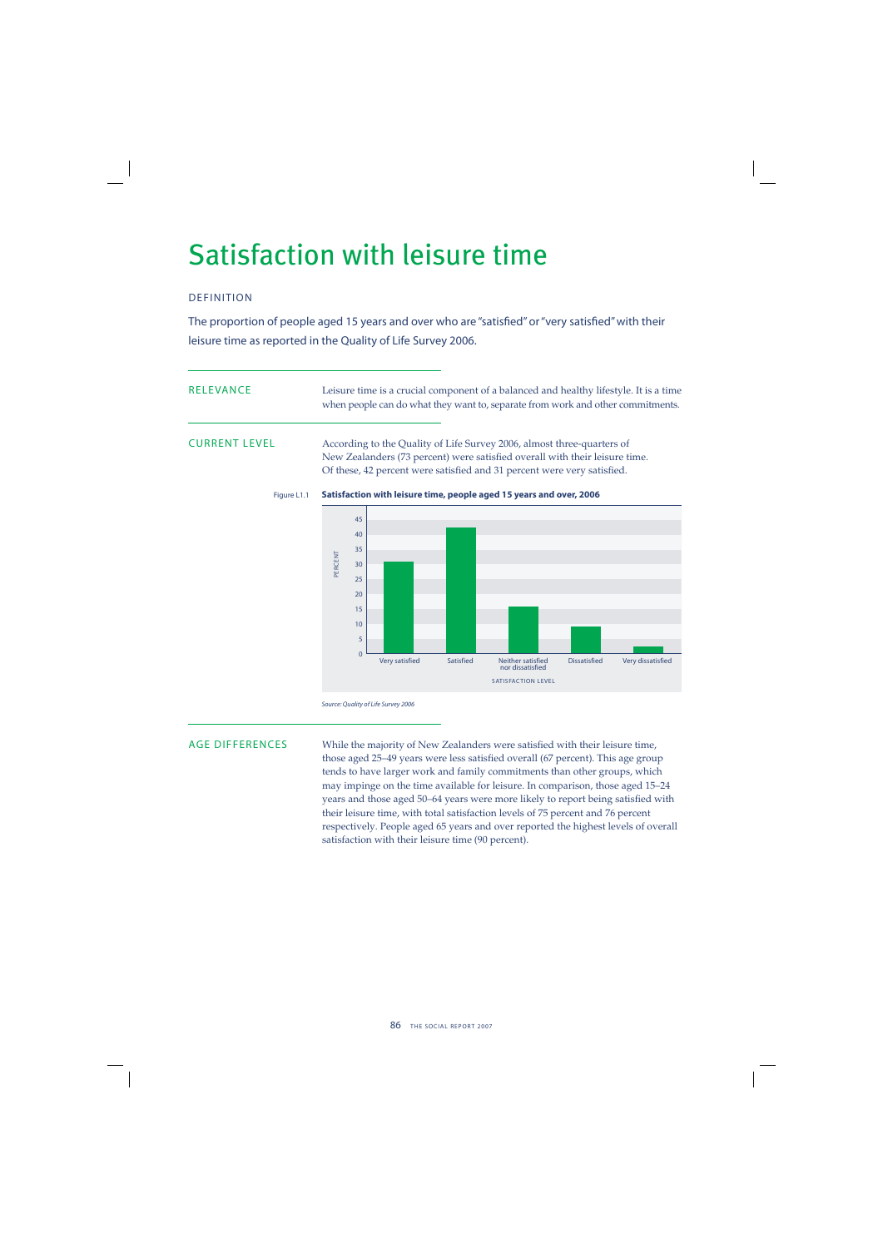## Satisfaction with leisure time

## DEFINITION

The proportion of people aged 15 years and over who are "satisfied" or "very satisfied" with their leisure time as reported in the Quality of Life Survey 2006.

RELEVANCE Leisure time is a crucial component of a balanced and healthy lifestyle. It is a time when people can do what they want to, separate from work and other commitments.

CURRENT LEVEL According to the Quality of Life Survey 2006, almost three-quarters of New Zealanders (73 percent) were satisfied overall with their leisure time. Of these, 42 percent were satisfied and 31 percent were very satisfied.



Figure L1.1 **Satisfaction with leisure time, people aged 15 years and over, 2006**

AGE DIFFERENCES While the majority of New Zealanders were satisfied with their leisure time, those aged 25–49 years were less satisfied overall (67 percent). This age group tends to have larger work and family commitments than other groups, which may impinge on the time available for leisure. In comparison, those aged 15–24 years and those aged 50–64 years were more likely to report being satisfied with their leisure time, with total satisfaction levels of 75 percent and 76 percent respectively. People aged 65 years and over reported the highest levels of overall satisfaction with their leisure time (90 percent).

Source: Quality of Life Survey 2006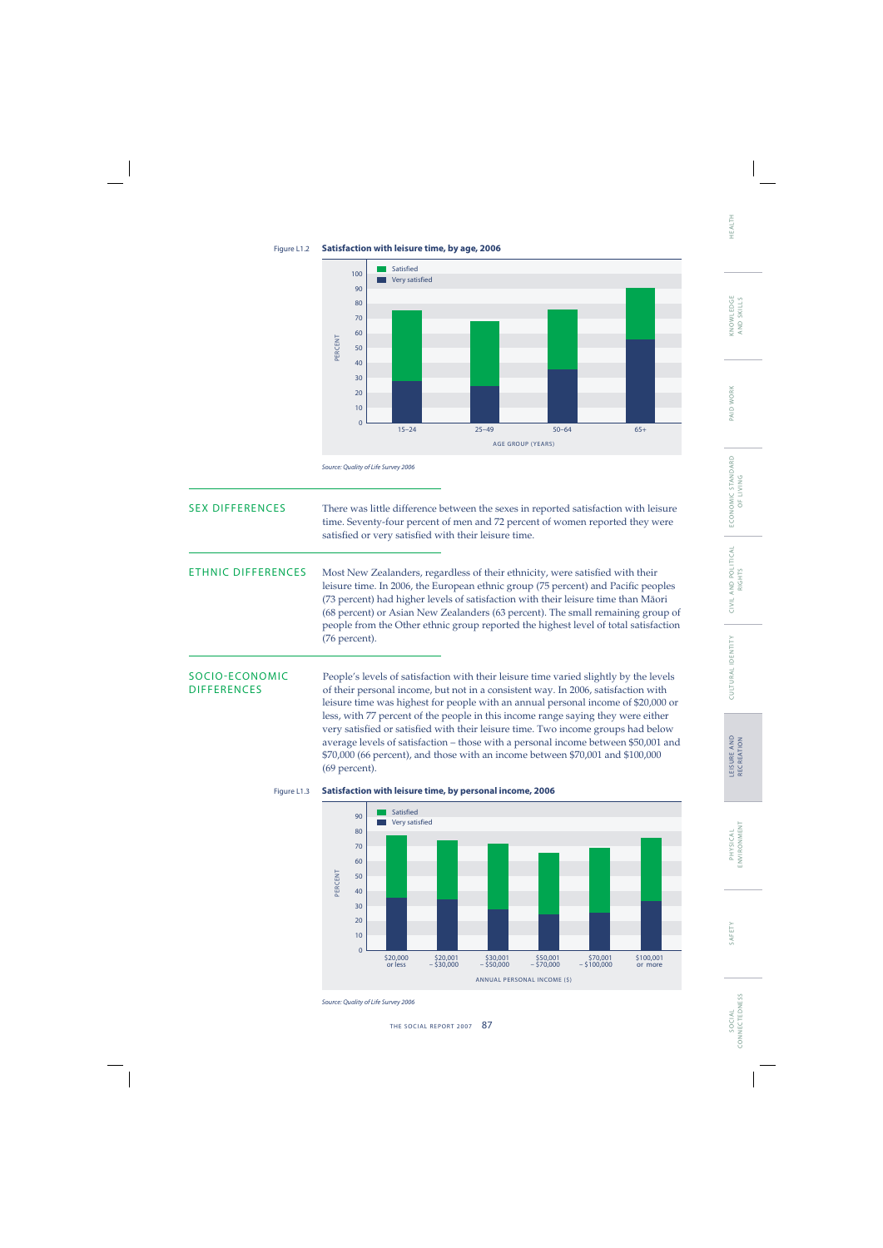

## Figure L1.2 **Satisfaction with leisure time, by age, 2006**

Source: Quality of Life Survey 2006

| <b>SEX DIFFERENCES</b>               | There was little difference between the sexes in reported satisfaction with leisure<br>time. Seventy-four percent of men and 72 percent of women reported they were<br>satisfied or very satisfied with their leisure time.                                                                                                                                                                                                                                                                                                                                                                                                        |
|--------------------------------------|------------------------------------------------------------------------------------------------------------------------------------------------------------------------------------------------------------------------------------------------------------------------------------------------------------------------------------------------------------------------------------------------------------------------------------------------------------------------------------------------------------------------------------------------------------------------------------------------------------------------------------|
| <b>ETHNIC DIFFERENCES</b>            | Most New Zealanders, regardless of their ethnicity, were satisfied with their<br>leisure time. In 2006, the European ethnic group (75 percent) and Pacific peoples<br>(73 percent) had higher levels of satisfaction with their leisure time than Māori<br>(68 percent) or Asian New Zealanders (63 percent). The small remaining group of<br>people from the Other ethnic group reported the highest level of total satisfaction<br>(76 percent).                                                                                                                                                                                 |
| SOCIO-ECONOMIC<br><b>DIFFERENCES</b> | People's levels of satisfaction with their leisure time varied slightly by the levels<br>of their personal income, but not in a consistent way. In 2006, satisfaction with<br>leisure time was highest for people with an annual personal income of \$20,000 or<br>less, with 77 percent of the people in this income range saying they were either<br>very satisfied or satisfied with their leisure time. Two income groups had below<br>average levels of satisfaction - those with a personal income between \$50,001 and<br>\$70,000 (66 percent), and those with an income between \$70,001 and \$100,000<br>$(69$ percent). |



## Figure L1.3 **Satisfaction with leisure time, by personal income, 2006**

Source: Quality of Life Survey 2006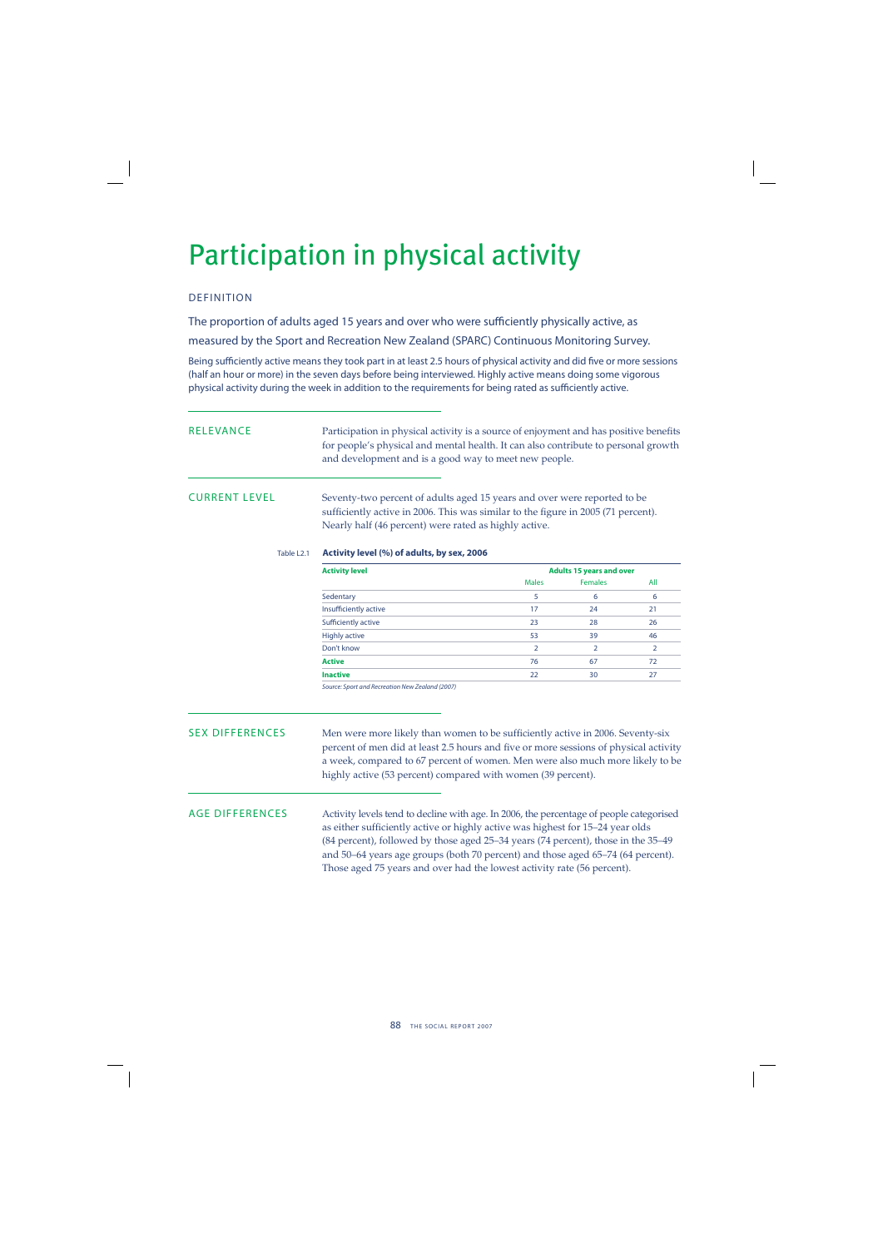## Participation in physical activity

## DEFINITION

The proportion of adults aged 15 years and over who were sufficiently physically active, as

measured by the Sport and Recreation New Zealand (SPARC) Continuous Monitoring Survey.

Being sufficiently active means they took part in at least 2.5 hours of physical activity and did five or more sessions (half an hour or more) in the seven days before being interviewed. Highly active means doing some vigorous physical activity during the week in addition to the requirements for being rated as sufficiently active.

| RELEVANCE | Participation in physical activity is a source of enjoyment and has positive benefits |
|-----------|---------------------------------------------------------------------------------------|
|           | for people's physical and mental health. It can also contribute to personal growth    |
|           | and development and is a good way to meet new people.                                 |

CURRENT LEVEL Seventy-two percent of adults aged 15 years and over were reported to be sufficiently active in 2006. This was similar to the figure in 2005 (71 percent). Nearly half (46 percent) were rated as highly active.

## Table L2.1 **Activity level (%) of adults, by sex, 2006**

| <b>Activity level</b> | <b>Adults 15 years and over</b> |                |     |  |
|-----------------------|---------------------------------|----------------|-----|--|
|                       | <b>Males</b>                    | <b>Females</b> | All |  |
| Sedentary             | 5                               | 6              | 6   |  |
| Insufficiently active | 17                              | 24             | 21  |  |
| Sufficiently active   | 23                              | 28             | 26  |  |
| <b>Highly active</b>  | 53                              | 39             | 46  |  |
| Don't know            | 2                               |                |     |  |
| <b>Active</b>         | 76                              | 67             | 72  |  |
| <b>Inactive</b>       | 22                              | 30             | 27  |  |

Source: Sport and Recreation New Zealand (2007)

SEX DIFFERENCES Men were more likely than women to be sufficiently active in 2006. Seventy-six percent of men did at least 2.5 hours and five or more sessions of physical activity a week, compared to 67 percent of women. Men were also much more likely to be highly active (53 percent) compared with women (39 percent).

AGE DIFFERENCES Activity levels tend to decline with age. In 2006, the percentage of people categorised as either sufficiently active or highly active was highest for 15-24 year olds (84 percent), followed by those aged 25–34 years (74 percent), those in the 35–49 and 50–64 years age groups (both 70 percent) and those aged 65–74 (64 percent). Those aged 75 years and over had the lowest activity rate (56 percent).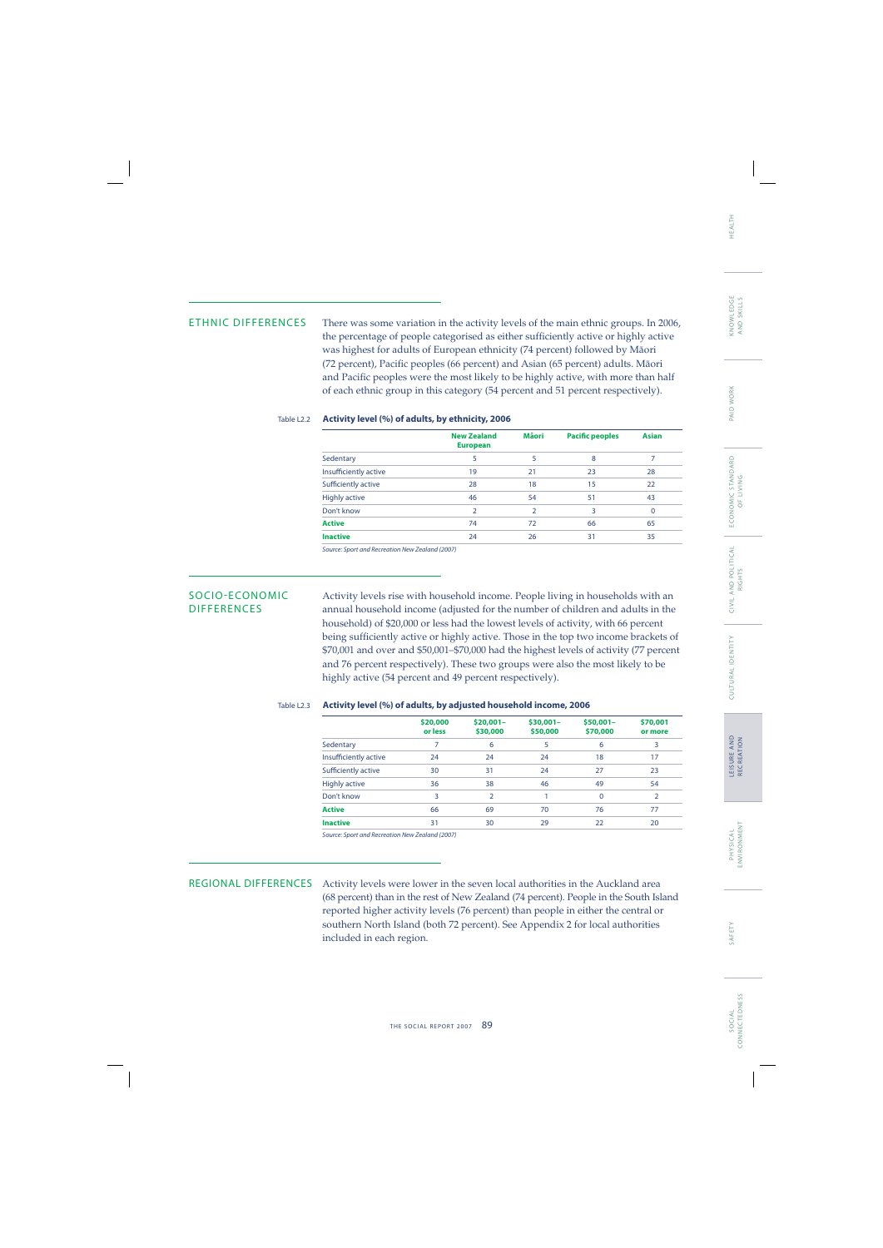ETHNIC DIFFERENCES There was some variation in the activity levels of the main ethnic groups. In 2006, the percentage of people categorised as either sufficiently active or highly active was highest for adults of European ethnicity (74 percent) followed by Mäori (72 percent), Pacific peoples (66 percent) and Asian (65 percent) adults. Māori and Pacific peoples were the most likely to be highly active, with more than half of each ethnic group in this category (54 percent and 51 percent respectively).

### Table L2.2 **Activity level (%) of adults, by ethnicity, 2006**

|                       | <b>New Zealand</b><br><b>European</b> | Māori | <b>Pacific peoples</b> | <b>Asian</b> |
|-----------------------|---------------------------------------|-------|------------------------|--------------|
| Sedentary             | 5                                     | 5     | 8                      |              |
| Insufficiently active | 19                                    | 21    | 23                     | 28           |
| Sufficiently active   | 28                                    | 18    | 15                     | 22           |
| <b>Highly active</b>  | 46                                    | 54    | 51                     | 43           |
| Don't know            |                                       |       | 3                      | 0            |
| <b>Active</b>         | 74                                    | 72    | 66                     | 65           |
| <b>Inactive</b>       | 24                                    | 26    | 31                     | 35           |

Source: Sport and Recreation New Zealand (2007)

SOCIO-ECONOMIC Activity levels rise with household income. People living in households with an DIFFERENCES annual household income (adjusted for the number of children and adults in the household) of \$20,000 or less had the lowest levels of activity, with 66 percent being sufficiently active or highly active. Those in the top two income brackets of \$70,001 and over and \$50,001–\$70,000 had the highest levels of activity (77 percent and 76 percent respectively). These two groups were also the most likely to be highly active (54 percent and 49 percent respectively).

### Table L2.3 **Activity level (%) of adults, by adjusted household income, 2006**

|                       | \$20,000<br>or less | $$20,001-$<br>\$30,000 | $$30,001-$<br>\$50,000 | $$50,001-$<br>\$70,000 | \$70,001<br>or more |
|-----------------------|---------------------|------------------------|------------------------|------------------------|---------------------|
| Sedentary             | 7                   | 6                      | 5                      | 6                      | 3                   |
| Insufficiently active | 24                  | 24                     | 24                     | 18                     | 17                  |
| Sufficiently active   | 30                  | 31                     | 24                     | 27                     | 23                  |
| <b>Highly active</b>  | 36                  | 38                     | 46                     | 49                     | 54                  |
| Don't know            | 3                   | $\overline{2}$         |                        | $\mathbf 0$            | $\overline{2}$      |
| <b>Active</b>         | 66                  | 69                     | 70                     | 76                     | 77                  |
| <b>Inactive</b>       | 31                  | 30                     | 29                     | 22                     | 20                  |
|                       |                     |                        |                        |                        |                     |

Source: Sport and Recreation New Zealand (2007)

REGIONAL DIFFERENCES Activity levels were lower in the seven local authorities in the Auckland area (68 percent) than in the rest of New Zealand (74 percent). People in the South Island reported higher activity levels (76 percent) than people in either the central or southern North Island (both 72 percent). See Appendix 2 for local authorities included in each region.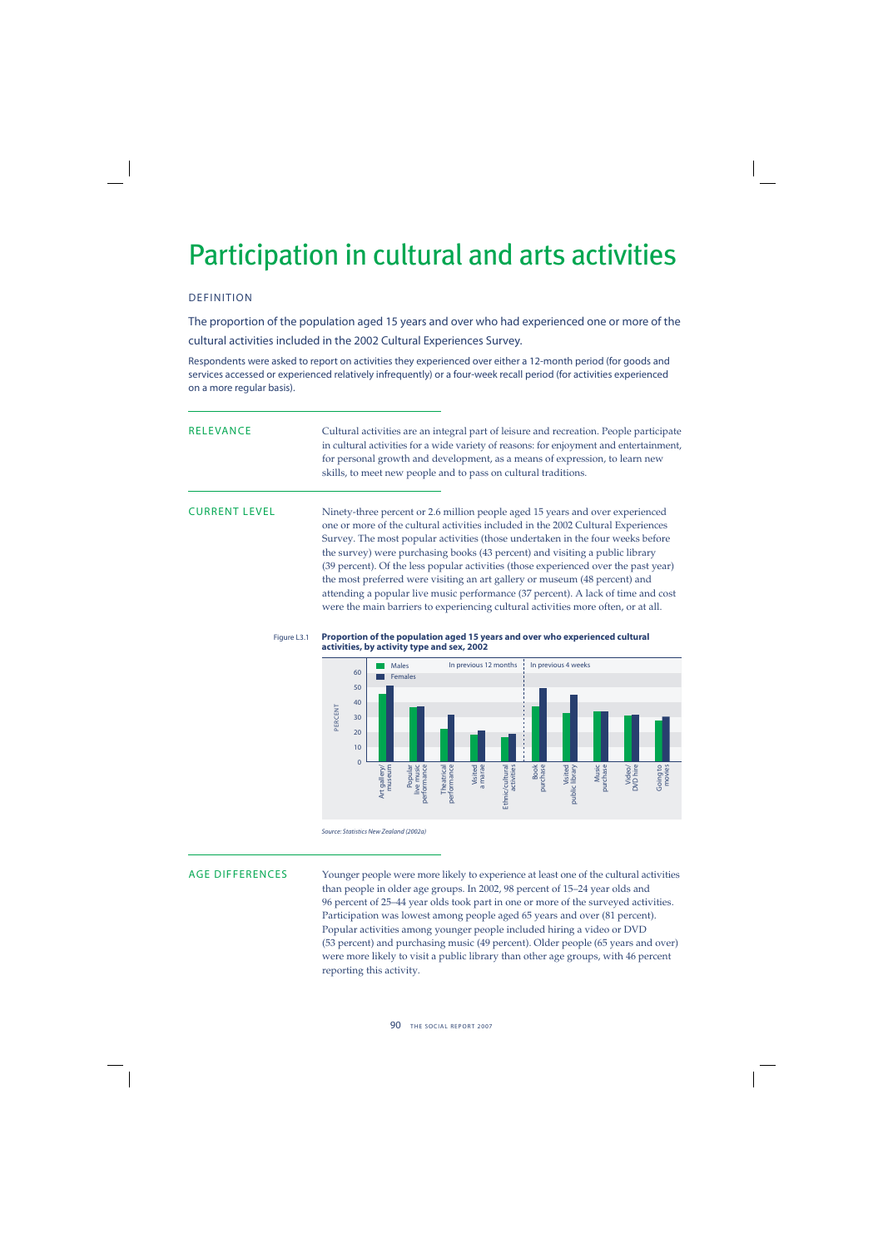## Participation in cultural and arts activities

## DEFINITION

The proportion of the population aged 15 years and over who had experienced one or more of the cultural activities included in the 2002 Cultural Experiences Survey.

Respondents were asked to report on activities they experienced over either a 12-month period (for goods and services accessed or experienced relatively infrequently) or a four-week recall period (for activities experienced on a more regular basis).

RELEVANCE Cultural activities are an integral part of leisure and recreation. People participate in cultural activities for a wide variety of reasons: for enjoyment and entertainment, for personal growth and development, as a means of expression, to learn new skills, to meet new people and to pass on cultural traditions.

CURRENT LEVEL Ninety-three percent or 2.6 million people aged 15 years and over experienced one or more of the cultural activities included in the 2002 Cultural Experiences Survey. The most popular activities (those undertaken in the four weeks before the survey) were purchasing books (43 percent) and visiting a public library (39 percent). Of the less popular activities (those experienced over the past year) the most preferred were visiting an art gallery or museum (48 percent) and attending a popular live music performance (37 percent). A lack of time and cost were the main barriers to experiencing cultural activities more often, or at all.





AGE DIFFERENCES Younger people were more likely to experience at least one of the cultural activities than people in older age groups. In 2002, 98 percent of 15–24 year olds and 96 percent of 25–44 year olds took part in one or more of the surveyed activities. Participation was lowest among people aged 65 years and over (81 percent). Popular activities among younger people included hiring a video or DVD (53 percent) and purchasing music (49 percent). Older people (65 years and over) were more likely to visit a public library than other age groups, with 46 percent reporting this activity.